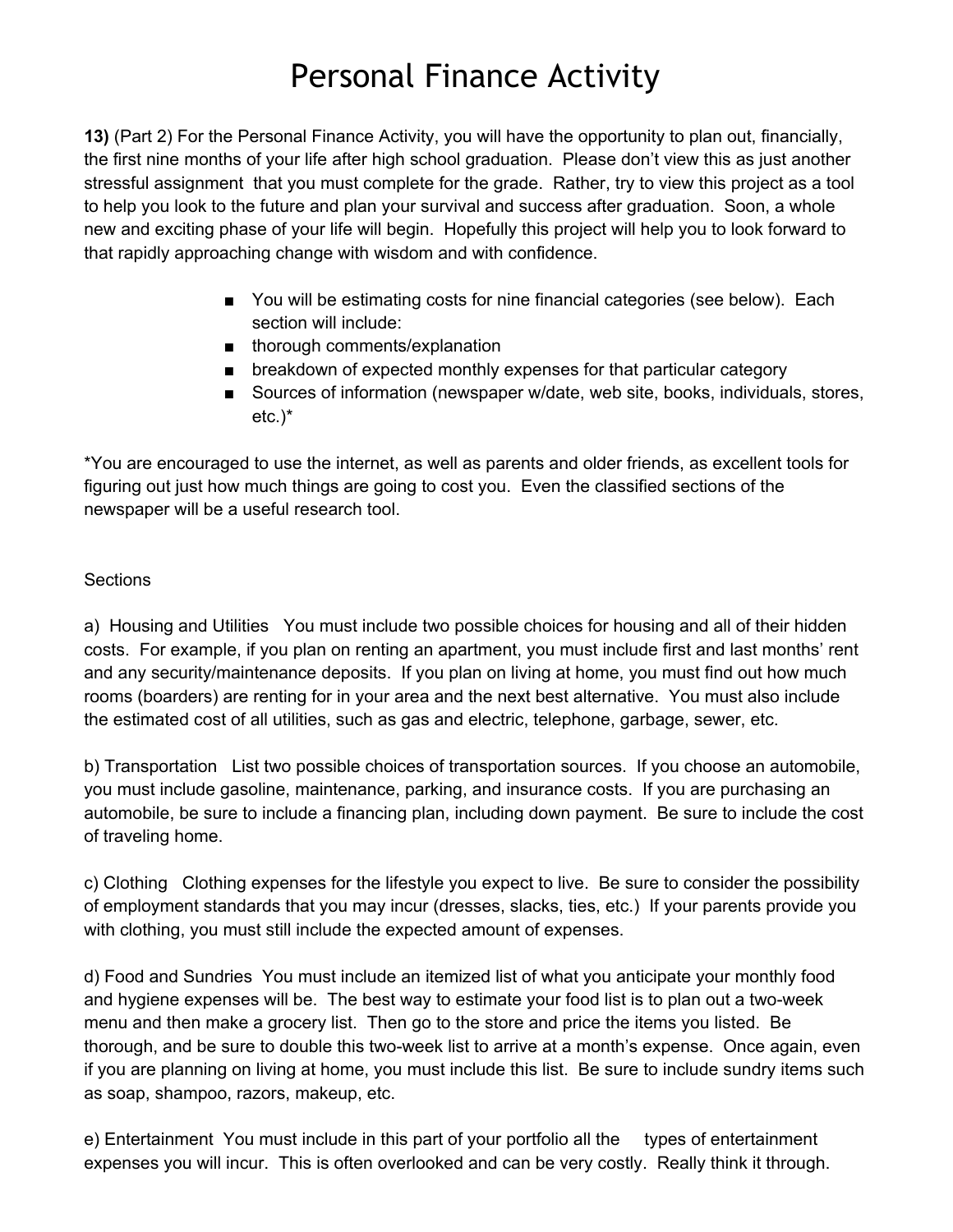## Personal Finance Activity

**13)** (Part 2) For the Personal Finance Activity, you will have the opportunity to plan out, financially, the first nine months of your life after high school graduation. Please don't view this as just another stressful assignment that you must complete for the grade. Rather, try to view this project as a tool to help you look to the future and plan your survival and success after graduation. Soon, a whole new and exciting phase of your life will begin. Hopefully this project will help you to look forward to that rapidly approaching change with wisdom and with confidence.

- You will be estimating costs for nine financial categories (see below). Each section will include:
- thorough comments/explanation
- breakdown of expected monthly expenses for that particular category
- Sources of information (newspaper w/date, web site, books, individuals, stores, etc.)\*

\*You are encouraged to use the internet, as well as parents and older friends, as excellent tools for figuring out just how much things are going to cost you. Even the classified sections of the newspaper will be a useful research tool.

## Sections

a) Housing and Utilities You must include two possible choices for housing and all of their hidden costs. For example, if you plan on renting an apartment, you must include first and last months' rent and any security/maintenance deposits. If you plan on living at home, you must find out how much rooms (boarders) are renting for in your area and the next best alternative. You must also include the estimated cost of all utilities, such as gas and electric, telephone, garbage, sewer, etc.

b) Transportation List two possible choices of transportation sources. If you choose an automobile, you must include gasoline, maintenance, parking, and insurance costs. If you are purchasing an automobile, be sure to include a financing plan, including down payment. Be sure to include the cost of traveling home.

c) Clothing Clothing expenses for the lifestyle you expect to live. Be sure to consider the possibility of employment standards that you may incur (dresses, slacks, ties, etc.) If your parents provide you with clothing, you must still include the expected amount of expenses.

d) Food and Sundries You must include an itemized list of what you anticipate your monthly food and hygiene expenses will be. The best way to estimate your food list is to plan out a two-week menu and then make a grocery list. Then go to the store and price the items you listed. Be thorough, and be sure to double this twoweek list to arrive at a month's expense. Once again, even if you are planning on living at home, you must include this list. Be sure to include sundry items such as soap, shampoo, razors, makeup, etc.

e) Entertainment You must include in this part of your portfolio all the types of entertainment expenses you will incur. This is often overlooked and can be very costly. Really think it through.